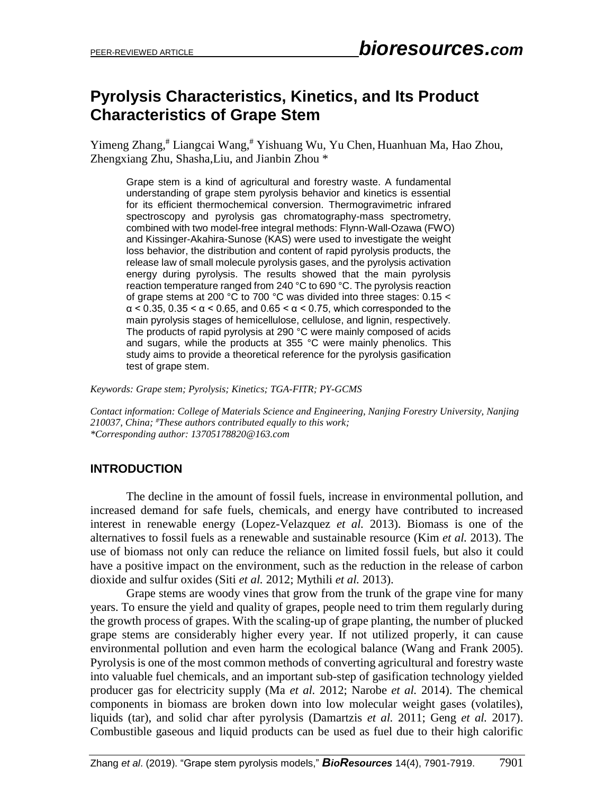# **Pyrolysis Characteristics, Kinetics, and Its Product Characteristics of Grape Stem**

Yimeng Zhang, # Liangcai Wang,# Yishuang Wu, Yu Chen, Huanhuan Ma, Hao Zhou, Zhengxiang Zhu, Shasha,Liu, and Jianbin Zhou \*

Grape stem is a kind of agricultural and forestry waste. A fundamental understanding of grape stem pyrolysis behavior and kinetics is essential for its efficient thermochemical conversion. Thermogravimetric infrared spectroscopy and pyrolysis gas chromatography-mass spectrometry, combined with two model-free integral methods: Flynn-Wall-Ozawa (FWO) and Kissinger-Akahira-Sunose (KAS) were used to investigate the weight loss behavior, the distribution and content of rapid pyrolysis products, the release law of small molecule pyrolysis gases, and the pyrolysis activation energy during pyrolysis. The results showed that the main pyrolysis reaction temperature ranged from 240 °C to 690 °C. The pyrolysis reaction of grape stems at 200 °C to 700 °C was divided into three stages: 0.15 <  $\alpha$  < 0.35, 0.35 <  $\alpha$  < 0.65, and 0.65 <  $\alpha$  < 0.75, which corresponded to the main pyrolysis stages of hemicellulose, cellulose, and lignin, respectively. The products of rapid pyrolysis at 290 °C were mainly composed of acids and sugars, while the products at 355 °C were mainly phenolics. This study aims to provide a theoretical reference for the pyrolysis gasification test of grape stem.

*Keywords: Grape stem; Pyrolysis; Kinetics; TGA-FITR; PY-GCMS*

*Contact information: College of Materials Science and Engineering, Nanjing Forestry University, Nanjing 210037, China; #These authors contributed equally to this work; \*Corresponding author: 13705178820@163.com*

# **INTRODUCTION**

The decline in the amount of fossil fuels, increase in environmental pollution, and increased demand for safe fuels, chemicals, and energy have contributed to increased interest in renewable energy (Lopez-Velazquez *et al.* 2013). Biomass is one of the alternatives to fossil fuels as a renewable and sustainable resource (Kim *et al.* 2013). The use of biomass not only can reduce the reliance on limited fossil fuels, but also it could have a positive impact on the environment, such as the reduction in the release of carbon dioxide and sulfur oxides (Siti *et al.* 2012; Mythili *et al.* 2013).

Grape stems are woody vines that grow from the trunk of the grape vine for many years. To ensure the yield and quality of grapes, people need to trim them regularly during the growth process of grapes. With the scaling-up of grape planting, the number of plucked grape stems are considerably higher every year. If not utilized properly, it can cause environmental pollution and even harm the ecological balance (Wang and Frank 2005). Pyrolysis is one of the most common methods of converting agricultural and forestry waste into valuable fuel chemicals, and an important sub-step of gasification technology yielded producer gas for electricity supply (Ma *et al.* 2012; Narobe *et al.* 2014). The chemical components in biomass are broken down into low molecular weight gases (volatiles), liquids (tar), and solid char after pyrolysis (Damartzis *et al.* 2011; Geng *et al.* 2017). Combustible gaseous and liquid products can be used as fuel due to their high calorific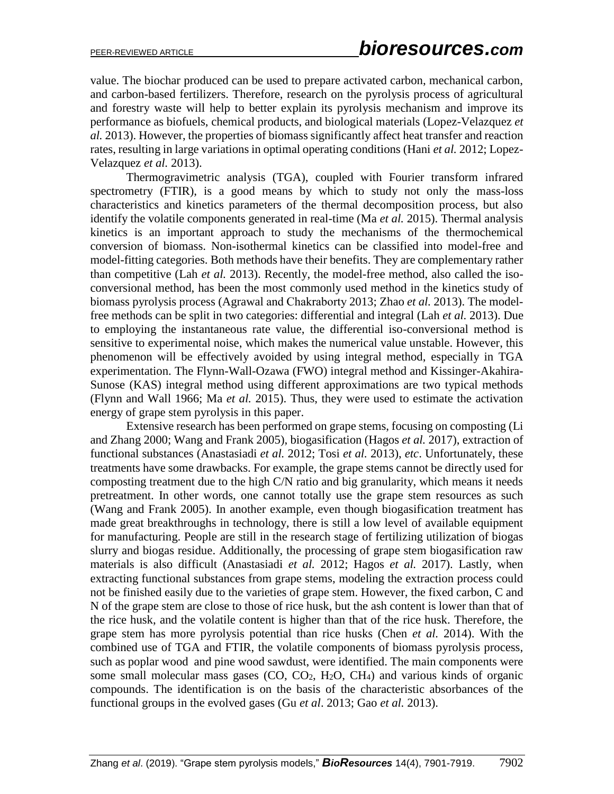value. The biochar produced can be used to prepare activated carbon, mechanical carbon, and carbon-based fertilizers. Therefore, research on the pyrolysis process of agricultural and forestry waste will help to better explain its pyrolysis mechanism and improve its performance as biofuels, chemical products, and biological materials (Lopez-Velazquez *et al.* 2013). However, the properties of biomass significantly affect heat transfer and reaction rates, resulting in large variations in optimal operating conditions (Hani *et al.* 2012; Lopez-Velazquez *et al.* 2013).

Thermogravimetric analysis (TGA), coupled with Fourier transform infrared spectrometry (FTIR), is a good means by which to study not only the mass-loss characteristics and kinetics parameters of the thermal decomposition process, but also identify the volatile components generated in real-time (Ma *et al.* 2015). Thermal analysis kinetics is an important approach to study the mechanisms of the thermochemical conversion of biomass. Non-isothermal kinetics can be classified into model-free and model-fitting categories. Both methods have their benefits. They are complementary rather than competitive (Lah *et al.* 2013). Recently, the model-free method, also called the isoconversional method, has been the most commonly used method in the kinetics study of biomass pyrolysis process (Agrawal and Chakraborty 2013; Zhao *et al.* 2013). The modelfree methods can be split in two categories: differential and integral (Lah *et al.* 2013). Due to employing the instantaneous rate value, the differential iso-conversional method is sensitive to experimental noise, which makes the numerical value unstable. However, this phenomenon will be effectively avoided by using integral method, especially in TGA experimentation. The Flynn-Wall-Ozawa (FWO) integral method and Kissinger-Akahira-Sunose (KAS) integral method using different approximations are two typical methods (Flynn and Wall 1966; Ma *et al.* 2015). Thus, they were used to estimate the activation energy of grape stem pyrolysis in this paper.

Extensive research has been performed on grape stems, focusing on composting (Li and Zhang 2000; Wang and Frank 2005), biogasification (Hagos *et al.* 2017), extraction of functional substances (Anastasiadi *et al.* 2012; Tosi *et al.* 2013), *etc*. Unfortunately, these treatments have some drawbacks. For example, the grape stems cannot be directly used for composting treatment due to the high C/N ratio and big granularity, which means it needs pretreatment. In other words, one cannot totally use the grape stem resources as such (Wang and Frank 2005). In another example, even though biogasification treatment has made great breakthroughs in technology, there is still a low level of available equipment for manufacturing. People are still in the research stage of fertilizing utilization of biogas slurry and biogas residue. Additionally, the processing of grape stem biogasification raw materials is also difficult (Anastasiadi *et al.* 2012; Hagos *et al.* 2017). Lastly, when extracting functional substances from grape stems, modeling the extraction process could not be finished easily due to the varieties of grape stem. However, the fixed carbon, C and N of the grape stem are close to those of rice husk, but the ash content is lower than that of the rice husk, and the volatile content is higher than that of the rice husk. Therefore, the grape stem has more pyrolysis potential than rice husks (Chen *et al.* 2014). With the combined use of TGA and FTIR, the volatile components of biomass pyrolysis process, such as poplar wood and pine wood sawdust, were identified. The main components were some small molecular mass gases (CO, CO<sub>2</sub>, H<sub>2</sub>O, CH<sub>4</sub>) and various kinds of organic compounds. The identification is on the basis of the characteristic absorbances of the functional groups in the evolved gases (Gu *et al*. 2013; Gao *et al.* 2013).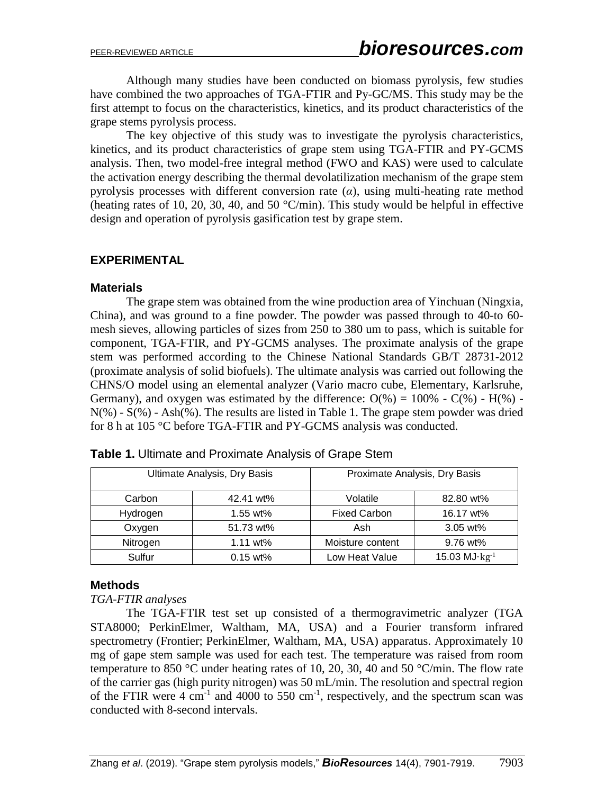Although many studies have been conducted on biomass pyrolysis, few studies have combined the two approaches of TGA-FTIR and Py-GC/MS. This study may be the first attempt to focus on the characteristics, kinetics, and its product characteristics of the grape stems pyrolysis process.

The key objective of this study was to investigate the pyrolysis characteristics, kinetics, and its product characteristics of grape stem using TGA-FTIR and PY-GCMS analysis. Then, two model-free integral method (FWO and KAS) were used to calculate the activation energy describing the thermal devolatilization mechanism of the grape stem pyrolysis processes with different conversion rate (*α*), using multi-heating rate method (heating rates of 10, 20, 30, 40, and 50 °C/min). This study would be helpful in effective design and operation of pyrolysis gasification test by grape stem.

# **EXPERIMENTAL**

### **Materials**

The grape stem was obtained from the wine production area of Yinchuan (Ningxia, China), and was ground to a fine powder. The powder was passed through to 40-to 60 mesh sieves, allowing particles of sizes from 250 to 380 um to pass, which is suitable for component, TGA-FTIR, and PY-GCMS analyses. The proximate analysis of the grape stem was performed according to the Chinese National Standards GB/T 28731-2012 (proximate analysis of solid biofuels). The ultimate analysis was carried out following the CHNS/O model using an elemental analyzer (Vario macro cube, Elementary, Karlsruhe, Germany), and oxygen was estimated by the difference:  $O(\%)=100\%$  -  $C(\%)$  -  $H(\%)$  -N(%) - S(%) - Ash(%). The results are listed in Table 1. The grape stem powder was dried for 8 h at 105 °C before TGA-FTIR and PY-GCMS analysis was conducted.

| Ultimate Analysis, Dry Basis |             | Proximate Analysis, Dry Basis |                 |
|------------------------------|-------------|-------------------------------|-----------------|
| Carbon                       | 42.41 wt%   | Volatile                      | 82.80 wt%       |
| Hydrogen                     | $1.55$ wt%  | <b>Fixed Carbon</b>           | 16.17 wt%       |
| Oxygen                       | 51.73 wt%   | Ash                           | $3.05$ wt%      |
| Nitrogen                     | 1.11 $wt\%$ | Moisture content              | 9.76 wt%        |
| Sulfur                       | $0.15$ wt%  | Low Heat Value                | 15.03 $MJ·kg-1$ |

**Table 1.** Ultimate and Proximate Analysis of Grape Stem

# **Methods**

#### *TGA-FTIR analyses*

The TGA-FTIR test set up consisted of a thermogravimetric analyzer (TGA STA8000; PerkinElmer, Waltham, MA, USA) and a Fourier transform infrared spectrometry (Frontier; PerkinElmer, Waltham, MA, USA) apparatus. Approximately 10 mg of gape stem sample was used for each test. The temperature was raised from room temperature to 850 °C under heating rates of 10, 20, 30, 40 and 50 °C/min. The flow rate of the carrier gas (high purity nitrogen) was 50 mL/min. The resolution and spectral region of the FTIR were  $4 \text{ cm}^{-1}$  and  $4000 \text{ to } 550 \text{ cm}^{-1}$ , respectively, and the spectrum scan was conducted with 8-second intervals.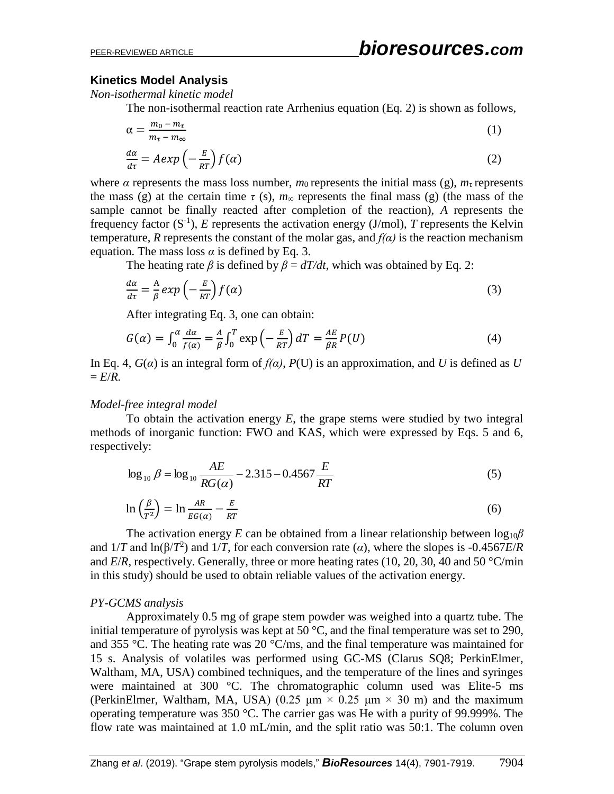#### **Kinetics Model Analysis**

*Non-isothermal kinetic model*

The non-isothermal reaction rate Arrhenius equation (Eq. 2) is shown as follows,

$$
\alpha = \frac{m_0 - m_\tau}{m_\tau - m_\infty} \tag{1}
$$
\n
$$
\frac{d\alpha}{d\tau} = A \exp\left(-\frac{E}{RT}\right) f(\alpha) \tag{2}
$$

where  $\alpha$  represents the mass loss number,  $m_0$  represents the initial mass (g),  $m_\tau$  represents the mass (g) at the certain time  $\tau$  (s),  $m_{\infty}$  represents the final mass (g) (the mass of the sample cannot be finally reacted after completion of the reaction), *A* represents the frequency factor  $(S^{-1})$ , *E* represents the activation energy (J/mol), *T* represents the Kelvin temperature, *R* represents the constant of the molar gas, and  $f(\alpha)$  is the reaction mechanism equation. The mass loss  $\alpha$  is defined by Eq. 3.

The heating rate *β* is defined by  $\beta = dT/dt$ , which was obtained by Eq. 2:

$$
\frac{d\alpha}{d\tau} = \frac{A}{\beta} \exp\left(-\frac{E}{RT}\right) f(\alpha) \tag{3}
$$

After integrating Eq. 3, one can obtain:

$$
G(\alpha) = \int_0^{\alpha} \frac{d\alpha}{f(\alpha)} = \frac{A}{\beta} \int_0^T \exp\left(-\frac{E}{RT}\right) dT = \frac{AE}{\beta R} P(U) \tag{4}
$$

In Eq. 4,  $G(\alpha)$  is an integral form of  $f(\alpha)$ ,  $P(U)$  is an approximation, and *U* is defined as *U*  $E/R$ .

#### *Model-free integral model*

To obtain the activation energy *E*, the grape stems were studied by two integral methods of inorganic function: FWO and KAS, which were expressed by Eqs. 5 and 6, respectively:

$$
\log_{10} \beta = \log_{10} \frac{AE}{RG(\alpha)} - 2.315 - 0.4567 \frac{E}{RT}
$$
 (5)

$$
\ln\left(\frac{\beta}{T^2}\right) = \ln\frac{AR}{EG(\alpha)} - \frac{E}{RT}
$$
\n(6)

The activation energy *E* can be obtained from a linear relationship between  $\log_{10}\beta$ and  $1/T$  and  $\ln(\beta/T^2)$  and  $1/T$ , for each conversion rate ( $\alpha$ ), where the slopes is -0.4567*E*/*R* and *E*/*R*, respectively. Generally, three or more heating rates (10, 20, 30, 40 and 50 °C/min in this study) should be used to obtain reliable values of the activation energy.

#### *PY-GCMS analysis*

Approximately 0.5 mg of grape stem powder was weighed into a quartz tube. The initial temperature of pyrolysis was kept at 50  $^{\circ}$ C, and the final temperature was set to 290, and 355 °C. The heating rate was 20 °C/ms, and the final temperature was maintained for 15 s. Analysis of volatiles was performed using GC-MS (Clarus SQ8; PerkinElmer, Waltham, MA, USA) combined techniques, and the temperature of the lines and syringes were maintained at 300 °C. The chromatographic column used was Elite-5 ms (PerkinElmer, Waltham, MA, USA) (0.25  $\mu$ m × 0.25  $\mu$ m × 30 m) and the maximum operating temperature was 350 °C. The carrier gas was He with a purity of 99.999%. The flow rate was maintained at 1.0 mL/min, and the split ratio was 50:1. The column oven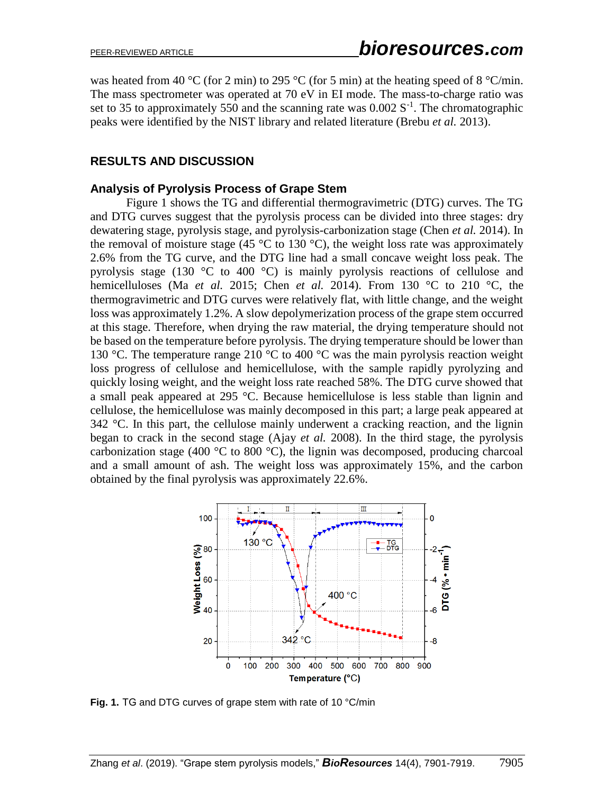was heated from 40 °C (for 2 min) to 295 °C (for 5 min) at the heating speed of 8 °C/min. The mass spectrometer was operated at 70 eV in EI mode. The mass-to-charge ratio was set to 35 to approximately 550 and the scanning rate was  $0.002 S^{-1}$ . The chromatographic peaks were identified by the NIST library and related literature (Brebu *et al.* 2013).

# **RESULTS AND DISCUSSION**

# **Analysis of Pyrolysis Process of Grape Stem**

Figure 1 shows the TG and differential thermogravimetric (DTG) curves. The TG and DTG curves suggest that the pyrolysis process can be divided into three stages: dry dewatering stage, pyrolysis stage, and pyrolysis-carbonization stage (Chen *et al.* 2014). In the removal of moisture stage (45  $\degree$ C to 130  $\degree$ C), the weight loss rate was approximately 2.6% from the TG curve, and the DTG line had a small concave weight loss peak. The pyrolysis stage (130  $\degree$ C to 400  $\degree$ C) is mainly pyrolysis reactions of cellulose and hemicelluloses (Ma *et al.* 2015; Chen *et al.* 2014). From 130 °C to 210 °C, the thermogravimetric and DTG curves were relatively flat, with little change, and the weight loss was approximately 1.2%. A slow depolymerization process of the grape stem occurred at this stage. Therefore, when drying the raw material, the drying temperature should not be based on the temperature before pyrolysis. The drying temperature should be lower than 130 °C. The temperature range 210 °C to 400 °C was the main pyrolysis reaction weight loss progress of cellulose and hemicellulose, with the sample rapidly pyrolyzing and quickly losing weight, and the weight loss rate reached 58%. The DTG curve showed that a small peak appeared at 295 °C. Because hemicellulose is less stable than lignin and cellulose, the hemicellulose was mainly decomposed in this part; a large peak appeared at  $342$  °C. In this part, the cellulose mainly underwent a cracking reaction, and the lignin began to crack in the second stage (Ajay *et al.* 2008). In the third stage, the pyrolysis carbonization stage (400  $\degree$ C to 800  $\degree$ C), the lignin was decomposed, producing charcoal and a small amount of ash. The weight loss was approximately 15%, and the carbon obtained by the final pyrolysis was approximately 22.6%.



**Fig. 1.** TG and DTG curves of grape stem with rate of 10 °C/min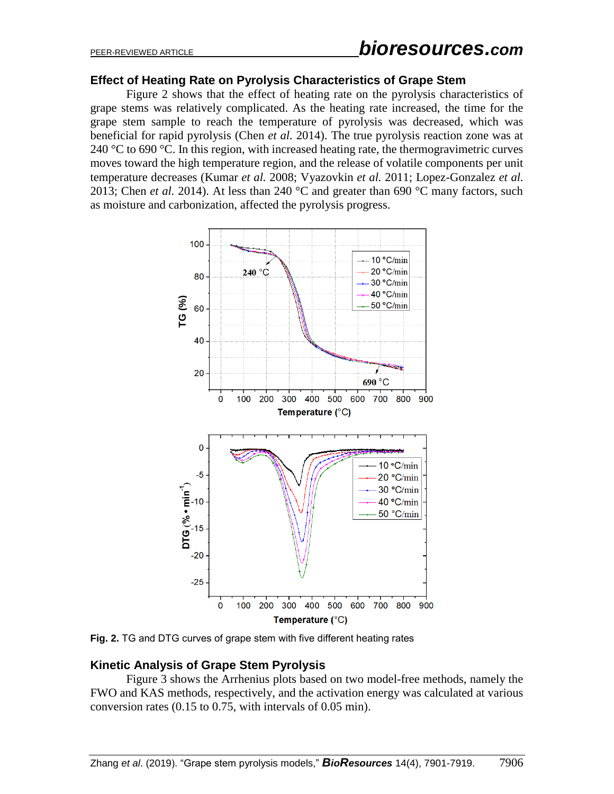### **Effect of Heating Rate on Pyrolysis Characteristics of Grape Stem**

Figure 2 shows that the effect of heating rate on the pyrolysis characteristics of grape stems was relatively complicated. As the heating rate increased, the time for the grape stem sample to reach the temperature of pyrolysis was decreased, which was beneficial for rapid pyrolysis (Chen *et al.* 2014). The true pyrolysis reaction zone was at 240 °C to 690 °C. In this region, with increased heating rate, the thermogravimetric curves moves toward the high temperature region, and the release of volatile components per unit temperature decreases (Kumar *et al.* 2008; Vyazovkin *et al.* 2011; Lopez-Gonzalez *et al.* 2013; Chen *et al.* 2014). At less than 240 °C and greater than 690 °C many factors, such as moisture and carbonization, affected the pyrolysis progress.



**Fig. 2.** TG and DTG curves of grape stem with five different heating rates

# **Kinetic Analysis of Grape Stem Pyrolysis**

Figure 3 shows the Arrhenius plots based on two model-free methods, namely the FWO and KAS methods, respectively, and the activation energy was calculated at various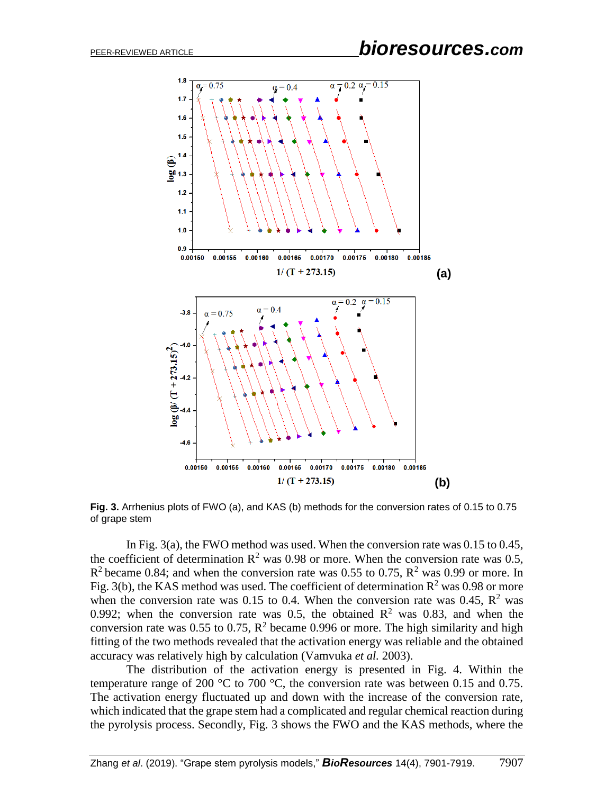

**Fig. 3.** Arrhenius plots of FWO (a), and KAS (b) methods for the conversion rates of 0.15 to 0.75 of grape stem

In Fig. 3(a), the FWO method was used. When the conversion rate was 0.15 to 0.45, the coefficient of determination  $\mathbb{R}^2$  was 0.98 or more. When the conversion rate was 0.5,  $R^2$  became 0.84; and when the conversion rate was 0.55 to 0.75,  $R^2$  was 0.99 or more. In Fig. 3(b), the KAS method was used. The coefficient of determination  $R^2$  was 0.98 or more when the conversion rate was 0.15 to 0.4. When the conversion rate was 0.45,  $\mathbb{R}^2$  was 0.992; when the conversion rate was 0.5, the obtained  $R^2$  was 0.83, and when the conversion rate was 0.55 to 0.75,  $\mathbb{R}^2$  became 0.996 or more. The high similarity and high fitting of the two methods revealed that the activation energy was reliable and the obtained accuracy was relatively high by calculation (Vamvuka *et al.* 2003).

The distribution of the activation energy is presented in Fig. 4. Within the temperature range of 200  $^{\circ}$ C to 700  $^{\circ}$ C, the conversion rate was between 0.15 and 0.75. The activation energy fluctuated up and down with the increase of the conversion rate, which indicated that the grape stem had a complicated and regular chemical reaction during the pyrolysis process. Secondly, Fig. 3 shows the FWO and the KAS methods, where the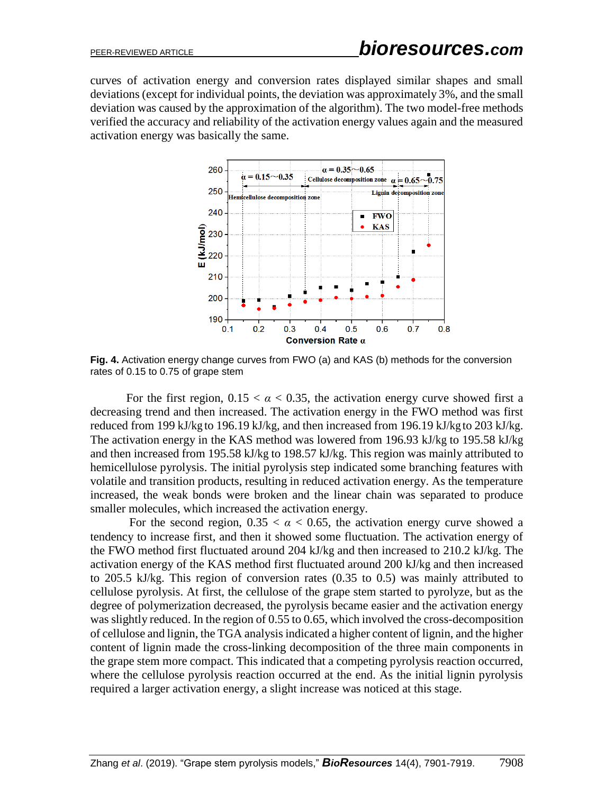curves of activation energy and conversion rates displayed similar shapes and small deviations (except for individual points, the deviation was approximately 3%, and the small deviation was caused by the approximation of the algorithm). The two model-free methods verified the accuracy and reliability of the activation energy values again and the measured activation energy was basically the same.



**Fig. 4.** Activation energy change curves from FWO (a) and KAS (b) methods for the conversion rates of 0.15 to 0.75 of grape stem

For the first region,  $0.15 < \alpha < 0.35$ , the activation energy curve showed first a decreasing trend and then increased. The activation energy in the FWO method was first reduced from 199 kJ/kg to 196.19 kJ/kg, and then increased from 196.19 kJ/kg to 203 kJ/kg. The activation energy in the KAS method was lowered from 196.93 kJ/kg to 195.58 kJ/kg and then increased from 195.58 kJ/kg to 198.57 kJ/kg. This region was mainly attributed to hemicellulose pyrolysis. The initial pyrolysis step indicated some branching features with volatile and transition products, resulting in reduced activation energy. As the temperature increased, the weak bonds were broken and the linear chain was separated to produce smaller molecules, which increased the activation energy.

For the second region,  $0.35 < \alpha < 0.65$ , the activation energy curve showed a tendency to increase first, and then it showed some fluctuation. The activation energy of the FWO method first fluctuated around 204 kJ/kg and then increased to 210.2 kJ/kg. The activation energy of the KAS method first fluctuated around 200 kJ/kg and then increased to 205.5 kJ/kg. This region of conversion rates (0.35 to 0.5) was mainly attributed to cellulose pyrolysis. At first, the cellulose of the grape stem started to pyrolyze, but as the degree of polymerization decreased, the pyrolysis became easier and the activation energy was slightly reduced. In the region of 0.55 to 0.65, which involved the cross-decomposition of cellulose and lignin, the TGA analysis indicated a higher content of lignin, and the higher content of lignin made the cross-linking decomposition of the three main components in the grape stem more compact. This indicated that a competing pyrolysis reaction occurred, where the cellulose pyrolysis reaction occurred at the end. As the initial lignin pyrolysis required a larger activation energy, a slight increase was noticed at this stage.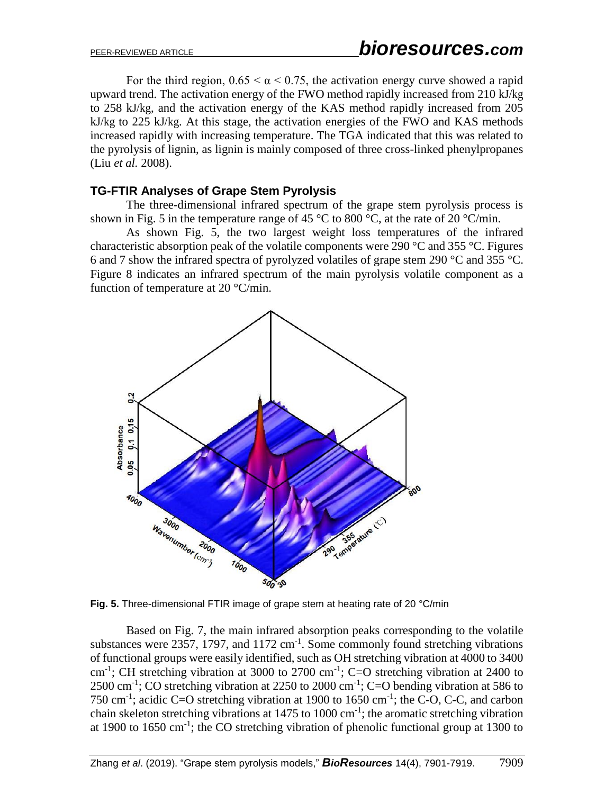For the third region,  $0.65 \le \alpha \le 0.75$ , the activation energy curve showed a rapid upward trend. The activation energy of the FWO method rapidly increased from 210 kJ/kg to 258 kJ/kg, and the activation energy of the KAS method rapidly increased from 205 kJ/kg to 225 kJ/kg. At this stage, the activation energies of the FWO and KAS methods increased rapidly with increasing temperature. The TGA indicated that this was related to the pyrolysis of lignin, as lignin is mainly composed of three cross-linked phenylpropanes (Liu *et al.* 2008).

### **TG-FTIR Analyses of Grape Stem Pyrolysis**

The three-dimensional infrared spectrum of the grape stem pyrolysis process is shown in Fig. 5 in the temperature range of 45 °C to 800 °C, at the rate of 20 °C/min.

As shown Fig. 5, the two largest weight loss temperatures of the infrared characteristic absorption peak of the volatile components were 290 °C and 355 °C. Figures 6 and 7 show the infrared spectra of pyrolyzed volatiles of grape stem 290 °C and 355 °C. Figure 8 indicates an infrared spectrum of the main pyrolysis volatile component as a function of temperature at 20 °C/min.



**Fig. 5.** Three-dimensional FTIR image of grape stem at heating rate of 20 °C/min

Based on Fig. 7, the main infrared absorption peaks corresponding to the volatile substances were 2357, 1797, and  $1172 \text{ cm}^{-1}$ . Some commonly found stretching vibrations of functional groups were easily identified, such as OH stretching vibration at 4000 to 3400 cm<sup>-1</sup>; CH stretching vibration at 3000 to 2700 cm<sup>-1</sup>; C=O stretching vibration at 2400 to 2500 cm<sup>-1</sup>; CO stretching vibration at 2250 to 2000 cm<sup>-1</sup>; C=O bending vibration at 586 to 750 cm<sup>-1</sup>; acidic C=O stretching vibration at 1900 to 1650 cm<sup>-1</sup>; the C-O, C-C, and carbon chain skeleton stretching vibrations at 1475 to 1000 cm<sup>-1</sup>; the aromatic stretching vibration at 1900 to 1650 cm<sup>-1</sup>; the CO stretching vibration of phenolic functional group at 1300 to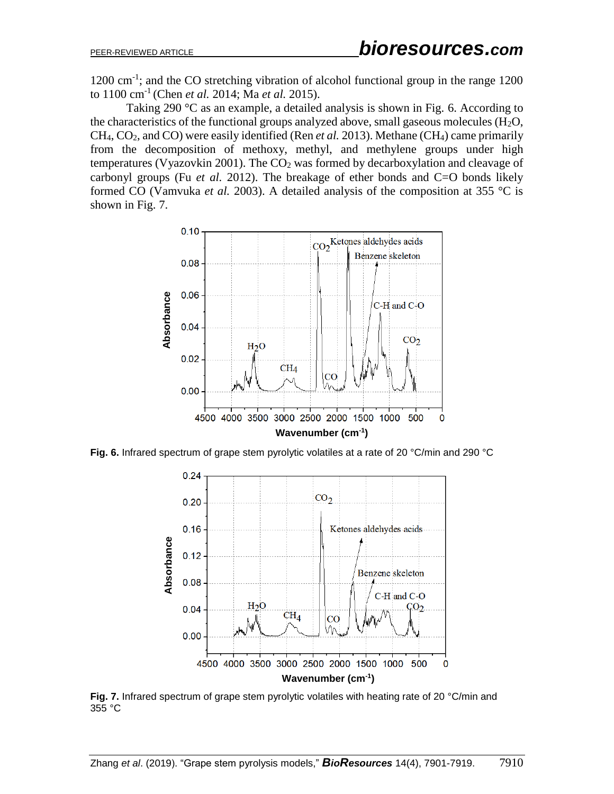1200 cm<sup>-1</sup>; and the CO stretching vibration of alcohol functional group in the range 1200 to 1100 cm-1 (Chen *et al.* 2014; Ma *et al.* 2015).

Taking 290 °C as an example, a detailed analysis is shown in Fig. 6. According to the characteristics of the functional groups analyzed above, small gaseous molecules  $(H_2O)$ , CH4, CO2, and CO) were easily identified (Ren *et al.* 2013). Methane (CH4) came primarily from the decomposition of methoxy, methyl, and methylene groups under high temperatures (Vyazovkin 2001). The  $CO<sub>2</sub>$  was formed by decarboxylation and cleavage of carbonyl groups (Fu *et al.* 2012). The breakage of ether bonds and C=O bonds likely formed CO (Vamvuka *et al.* 2003). A detailed analysis of the composition at 355 °C is shown in Fig. 7.



**Fig. 6.** Infrared spectrum of grape stem pyrolytic volatiles at a rate of 20 °C/min and 290 °C



**Fig. 7.** Infrared spectrum of grape stem pyrolytic volatiles with heating rate of 20 °C/min and 355 °C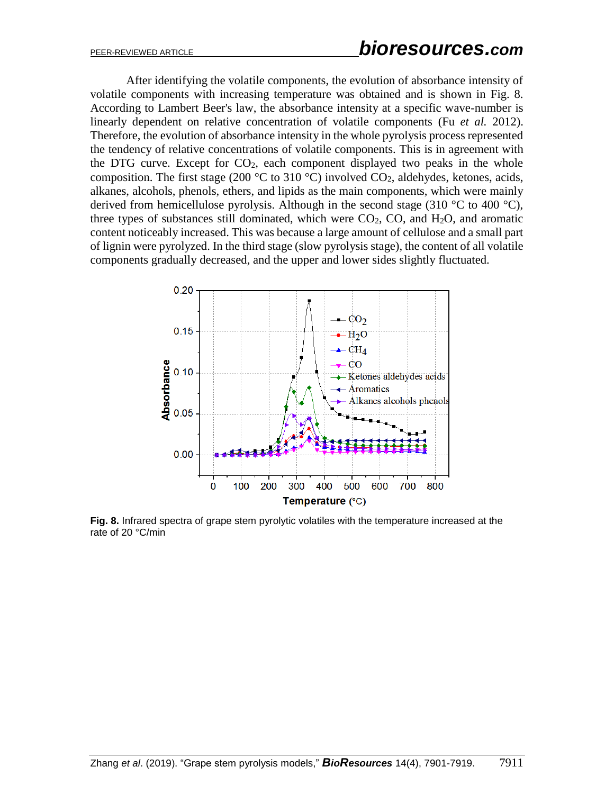After identifying the volatile components, the evolution of absorbance intensity of volatile components with increasing temperature was obtained and is shown in Fig. 8. According to Lambert Beer's law, the absorbance intensity at a specific wave-number is linearly dependent on relative concentration of volatile components (Fu *et al.* 2012). Therefore, the evolution of absorbance intensity in the whole pyrolysis process represented the tendency of relative concentrations of volatile components. This is in agreement with the DTG curve. Except for  $CO<sub>2</sub>$ , each component displayed two peaks in the whole composition. The first stage (200  $^{\circ}$ C to 310  $^{\circ}$ C) involved CO<sub>2</sub>, aldehydes, ketones, acids, alkanes, alcohols, phenols, ethers, and lipids as the main components, which were mainly derived from hemicellulose pyrolysis. Although in the second stage (310  $^{\circ}$ C to 400  $^{\circ}$ C), three types of substances still dominated, which were  $CO<sub>2</sub>$ , CO, and H<sub>2</sub>O, and aromatic content noticeably increased. This was because a large amount of cellulose and a small part of lignin were pyrolyzed. In the third stage (slow pyrolysis stage), the content of all volatile components gradually decreased, and the upper and lower sides slightly fluctuated.



**Fig. 8.** Infrared spectra of grape stem pyrolytic volatiles with the temperature increased at the rate of 20 °C/min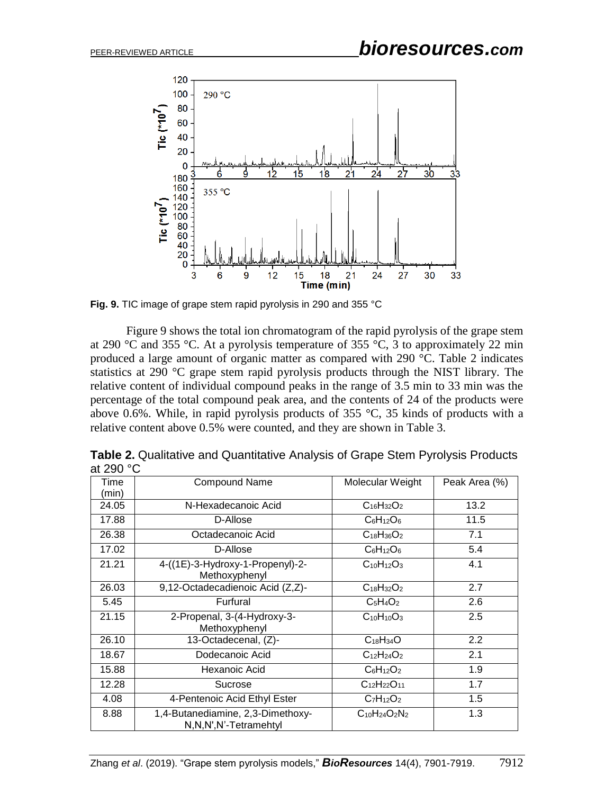

**Fig. 9.** TIC image of grape stem rapid pyrolysis in 290 and 355 °C

Figure 9 shows the total ion chromatogram of the rapid pyrolysis of the grape stem at 290 °C and 355 °C. At a pyrolysis temperature of 355 °C, 3 to approximately 22 min produced a large amount of organic matter as compared with 290 °C. Table 2 indicates statistics at 290 °C grape stem rapid pyrolysis products through the NIST library. The relative content of individual compound peaks in the range of 3.5 min to 33 min was the percentage of the total compound peak area, and the contents of 24 of the products were above 0.6%. While, in rapid pyrolysis products of 355  $\degree$ C, 35 kinds of products with a relative content above 0.5% were counted, and they are shown in Table 3.

| al zou lu |                                                               |                      |                  |
|-----------|---------------------------------------------------------------|----------------------|------------------|
| Time      | <b>Compound Name</b>                                          | Molecular Weight     | Peak Area (%)    |
| (min)     |                                                               |                      |                  |
| 24.05     | N-Hexadecanoic Acid                                           | $C_{16}H_{32}O_2$    | 13.2             |
| 17.88     | D-Allose                                                      | $C_6H_{12}O_6$       | 11.5             |
| 26.38     | Octadecanoic Acid                                             | $C_{18}H_{36}O_2$    | 7.1              |
| 17.02     | D-Allose                                                      | $C_6H_{12}O_6$       | 5.4              |
| 21.21     | 4-((1E)-3-Hydroxy-1-Propenyl)-2-<br>Methoxyphenyl             | $C_{10}H_{12}O_3$    | 4.1              |
| 26.03     | 9,12-Octadecadienoic Acid (Z,Z)-                              | $C_{18}H_{32}O_2$    | 2.7              |
| 5.45      | Furfural                                                      | $C_5H_4O_2$          | 2.6              |
| 21.15     | 2-Propenal, 3-(4-Hydroxy-3-<br>Methoxyphenyl                  | $C_{10}H_{10}O_3$    | 2.5              |
| 26.10     | 13-Octadecenal, (Z)-                                          | $C_{18}H_{34}O$      | $2.2\phantom{0}$ |
| 18.67     | Dodecanoic Acid                                               | $C_{12}H_{24}O_2$    | 2.1              |
| 15.88     | Hexanoic Acid                                                 | $C_6H_{12}O_2$       | 1.9              |
| 12.28     | Sucrose                                                       | $C_{12}H_{22}O_{11}$ | 1.7              |
| 4.08      | 4-Pentenoic Acid Ethyl Ester                                  | $C_7H_{12}O_2$       | 1.5              |
| 8.88      | 1,4-Butanediamine, 2,3-Dimethoxy-<br>N, N, N', N'-Tetramehtyl | $C_{10}H_{24}O_2N_2$ | 1.3              |

**Table 2.** Qualitative and Quantitative Analysis of Grape Stem Pyrolysis Products  $200°$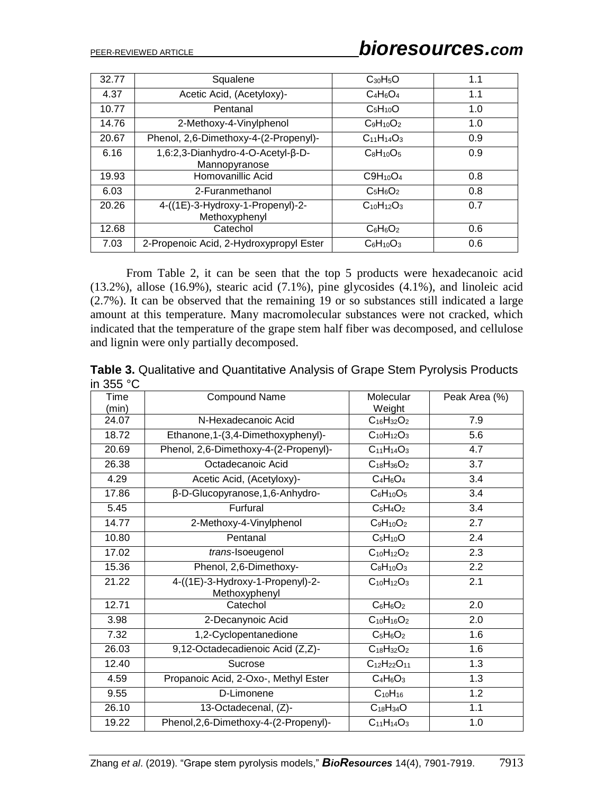| 32.77 | Squalene                                           | $C_{30}H_5O$      | 1.1 |
|-------|----------------------------------------------------|-------------------|-----|
| 4.37  | Acetic Acid, (Acetyloxy)-                          | $C_4H_6O_4$       | 1.1 |
| 10.77 | Pentanal                                           | $C_5H_{10}O$      | 1.0 |
| 14.76 | 2-Methoxy-4-Vinylphenol                            | $C_9H_{10}O_2$    | 1.0 |
| 20.67 | Phenol, 2,6-Dimethoxy-4-(2-Propenyl)-              | $C_{11}H_{14}O_3$ | 0.9 |
| 6.16  | 1,6:2,3-Dianhydro-4-O-Acetyl-β-D-<br>Mannopyranose | $C_8H_{10}O_5$    | 0.9 |
| 19.93 | Homovanillic Acid                                  | $C9H_{10}O_4$     | 0.8 |
| 6.03  | 2-Furanmethanol                                    | $C_5H_6O_2$       | 0.8 |
| 20.26 | 4-((1E)-3-Hydroxy-1-Propenyl)-2-<br>Methoxyphenyl  | $C_{10}H_{12}O_3$ | 0.7 |
| 12.68 | Catechol                                           | $C_6H_6O_2$       | 0.6 |
| 7.03  | 2-Propenoic Acid, 2-Hydroxypropyl Ester            | $C_6H_{10}O_3$    | 0.6 |

From Table 2, it can be seen that the top 5 products were hexadecanoic acid (13.2%), allose (16.9%), stearic acid (7.1%), pine glycosides (4.1%), and linoleic acid (2.7%). It can be observed that the remaining 19 or so substances still indicated a large amount at this temperature. Many macromolecular substances were not cracked, which indicated that the temperature of the grape stem half fiber was decomposed, and cellulose and lignin were only partially decomposed.

**Table 3.** Qualitative and Quantitative Analysis of Grape Stem Pyrolysis Products in 355 °C

| งงง บ         |                                                   |                      |               |
|---------------|---------------------------------------------------|----------------------|---------------|
| Time<br>(min) | <b>Compound Name</b>                              | Molecular<br>Weight  | Peak Area (%) |
| 24.07         | N-Hexadecanoic Acid                               | $C_{16}H_{32}O_2$    | 7.9           |
| 18.72         | Ethanone, 1-(3, 4-Dimethoxyphenyl)-               | $C_{10}H_{12}O_3$    | 5.6           |
| 20.69         | Phenol, 2,6-Dimethoxy-4-(2-Propenyl)-             | $C_{11}H_{14}O_3$    | 4.7           |
| 26.38         | Octadecanoic Acid                                 | $C_{18}H_{36}O_2$    | 3.7           |
| 4.29          | Acetic Acid, (Acetyloxy)-                         | $C_4H_6O_4$          | 3.4           |
| 17.86         | β-D-Glucopyranose, 1, 6-Anhydro-                  | $C_6H_{10}O_5$       | 3.4           |
| 5.45          | Furfural                                          | $C_5H_4O_2$          | 3.4           |
| 14.77         | 2-Methoxy-4-Vinylphenol                           | $C_9H_{10}O_2$       | 2.7           |
| 10.80         | Pentanal                                          | $C_5H_{10}O$         | 2.4           |
| 17.02         | trans-Isoeugenol                                  | $C_{10}H_{12}O_2$    | 2.3           |
| 15.36         | Phenol, 2,6-Dimethoxy-                            | $C_8H_{10}O_3$       | 2.2           |
| 21.22         | 4-((1E)-3-Hydroxy-1-Propenyl)-2-<br>Methoxyphenyl | $C_{10}H_{12}O_3$    | 2.1           |
| 12.71         | Catechol                                          | $C_6H_6O_2$          | 2.0           |
| 3.98          | 2-Decanynoic Acid                                 | $C_{10}H_{16}O_2$    | 2.0           |
| 7.32          | 1,2-Cyclopentanedione                             | $C_5H_6O_2$          | 1.6           |
| 26.03         | $\overline{9,1}$ 2-Octadecadienoic Acid (Z,Z)-    | $C_{18}H_{32}O_2$    | 1.6           |
| 12.40         | Sucrose                                           | $C_{12}H_{22}O_{11}$ | 1.3           |
| 4.59          | Propanoic Acid, 2-Oxo-, Methyl Ester              | $C_4H_6O_3$          | 1.3           |
| 9.55          | D-Limonene                                        | $C_{10}H_{16}$       | 1.2           |
| 26.10         | 13-Octadecenal, (Z)-                              | $C_{18}H_{34}O$      | 1.1           |
| 19.22         | Phenol, 2, 6-Dimethoxy-4-(2-Propenyl)-            | $C_{11}H_{14}O_3$    | 1.0           |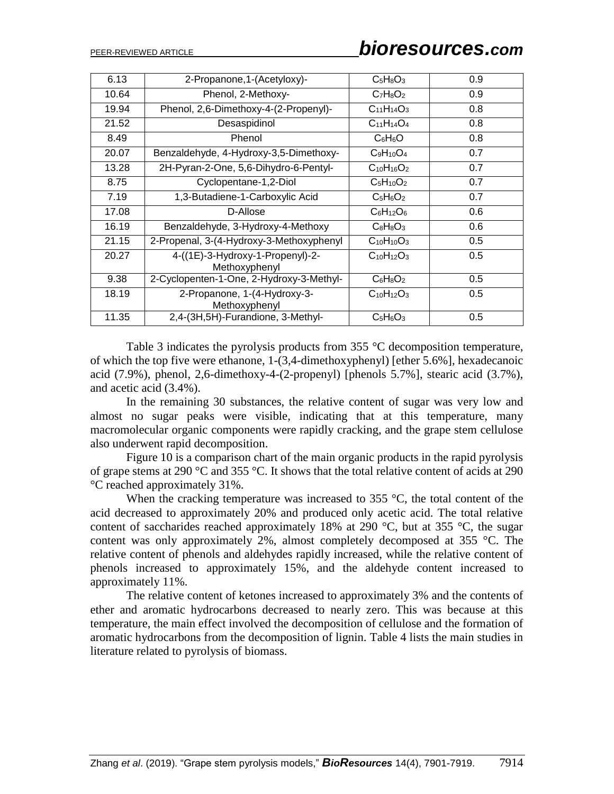| 6.13  | 2-Propanone, 1-(Acetyloxy)-                       | $C_5H_8O_3$       | 0.9 |
|-------|---------------------------------------------------|-------------------|-----|
| 10.64 | Phenol, 2-Methoxy-                                | $C_7H_8O_2$       | 0.9 |
| 19.94 | Phenol, 2,6-Dimethoxy-4-(2-Propenyl)-             | $C_{11}H_{14}O_3$ | 0.8 |
| 21.52 | Desaspidinol                                      | $C_{11}H_{14}O_4$ | 0.8 |
| 8.49  | Phenol                                            | $C_6H_6O$         | 0.8 |
| 20.07 | Benzaldehyde, 4-Hydroxy-3,5-Dimethoxy-            | $C_9H_{10}O_4$    | 0.7 |
| 13.28 | 2H-Pyran-2-One, 5,6-Dihydro-6-Pentyl-             | $C_{10}H_{16}O_2$ | 0.7 |
| 8.75  | Cyclopentane-1,2-Diol                             | $C_5H_{10}O_2$    | 0.7 |
| 7.19  | 1,3-Butadiene-1-Carboxylic Acid                   | $C_5H_6O_2$       | 0.7 |
| 17.08 | D-Allose                                          | $C_6H_{12}O_6$    | 0.6 |
| 16.19 | Benzaldehyde, 3-Hydroxy-4-Methoxy                 | $C_8H_8O_3$       | 0.6 |
| 21.15 | 2-Propenal, 3-(4-Hydroxy-3-Methoxyphenyl          | $C_{10}H_{10}O_3$ | 0.5 |
| 20.27 | 4-((1E)-3-Hydroxy-1-Propenyl)-2-<br>Methoxyphenyl | $C_{10}H_{12}O_3$ | 0.5 |
| 9.38  | 2-Cyclopenten-1-One, 2-Hydroxy-3-Methyl-          | $C_6H_8O_2$       | 0.5 |
| 18.19 | 2-Propanone, 1-(4-Hydroxy-3-<br>Methoxyphenyl     | $C_{10}H_{12}O_3$ | 0.5 |
| 11.35 | 2,4-(3H,5H)-Furandione, 3-Methyl-                 | $C_5H_6O_3$       | 0.5 |
|       |                                                   |                   |     |

Table 3 indicates the pyrolysis products from 355 °C decomposition temperature, of which the top five were ethanone, 1-(3,4-dimethoxyphenyl) [ether 5.6%], hexadecanoic acid (7.9%), phenol, 2,6-dimethoxy-4-(2-propenyl) [phenols 5.7%], stearic acid (3.7%), and acetic acid (3.4%).

In the remaining 30 substances, the relative content of sugar was very low and almost no sugar peaks were visible, indicating that at this temperature, many macromolecular organic components were rapidly cracking, and the grape stem cellulose also underwent rapid decomposition.

Figure 10 is a comparison chart of the main organic products in the rapid pyrolysis of grape stems at 290 °C and 355 °C. It shows that the total relative content of acids at 290 °C reached approximately 31%.

When the cracking temperature was increased to 355  $\degree$ C, the total content of the acid decreased to approximately 20% and produced only acetic acid. The total relative content of saccharides reached approximately 18% at 290  $^{\circ}$ C, but at 355  $^{\circ}$ C, the sugar content was only approximately 2%, almost completely decomposed at 355 °C. The relative content of phenols and aldehydes rapidly increased, while the relative content of phenols increased to approximately 15%, and the aldehyde content increased to approximately 11%.

The relative content of ketones increased to approximately 3% and the contents of ether and aromatic hydrocarbons decreased to nearly zero. This was because at this temperature, the main effect involved the decomposition of cellulose and the formation of aromatic hydrocarbons from the decomposition of lignin. Table 4 lists the main studies in literature related to pyrolysis of biomass.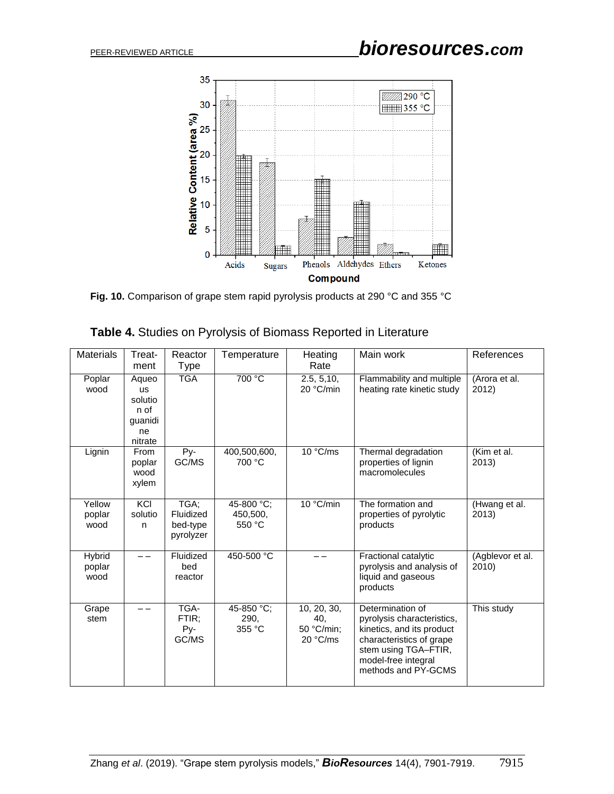

**Fig. 10.** Comparison of grape stem rapid pyrolysis products at 290 °C and 355 °C

| Table 4. Studies on Pyrolysis of Biomass Reported in Literature |  |  |
|-----------------------------------------------------------------|--|--|
|-----------------------------------------------------------------|--|--|

| <b>Materials</b>                | Treat-<br>ment                                                    | Reactor<br>Type                            | Temperature                      | Heating<br>Rate                              | Main work                                                                                                                                                                     | References                |
|---------------------------------|-------------------------------------------------------------------|--------------------------------------------|----------------------------------|----------------------------------------------|-------------------------------------------------------------------------------------------------------------------------------------------------------------------------------|---------------------------|
| Poplar<br>wood                  | Aqueo<br><b>us</b><br>solutio<br>n of<br>guanidi<br>ne<br>nitrate | <b>TGA</b>                                 | 700 °C                           | 2.5, 5, 10,<br>20 °C/min                     | Flammability and multiple<br>heating rate kinetic study                                                                                                                       | (Arora et al.<br>2012)    |
| Lignin                          | From<br>poplar<br>wood<br>xylem                                   | Py-<br>GC/MS                               | 400,500,600,<br>700 °C           | 10 °C/ms                                     | Thermal degradation<br>properties of lignin<br>macromolecules                                                                                                                 | (Kim et al.<br>2013)      |
| Yellow<br>poplar<br>wood        | KCI<br>solutio<br>n                                               | TGA;<br>Fluidized<br>bed-type<br>pyrolyzer | 45-800 °C;<br>450,500,<br>550 °C | 10 °C/min                                    | The formation and<br>properties of pyrolytic<br>products                                                                                                                      | (Hwang et al.<br>2013)    |
| <b>Hybrid</b><br>poplar<br>wood |                                                                   | Fluidized<br>bed<br>reactor                | 450-500 °C                       |                                              | Fractional catalytic<br>pyrolysis and analysis of<br>liquid and gaseous<br>products                                                                                           | (Agblevor et al.<br>2010) |
| Grape<br>stem                   |                                                                   | TGA-<br>FTIR;<br>Py-<br>GC/MS              | 45-850 °C;<br>290,<br>355 °C     | 10, 20, 30,<br>40,<br>50 °C/min;<br>20 °C/ms | Determination of<br>pyrolysis characteristics,<br>kinetics, and its product<br>characteristics of grape<br>stem using TGA-FTIR,<br>model-free integral<br>methods and PY-GCMS | This study                |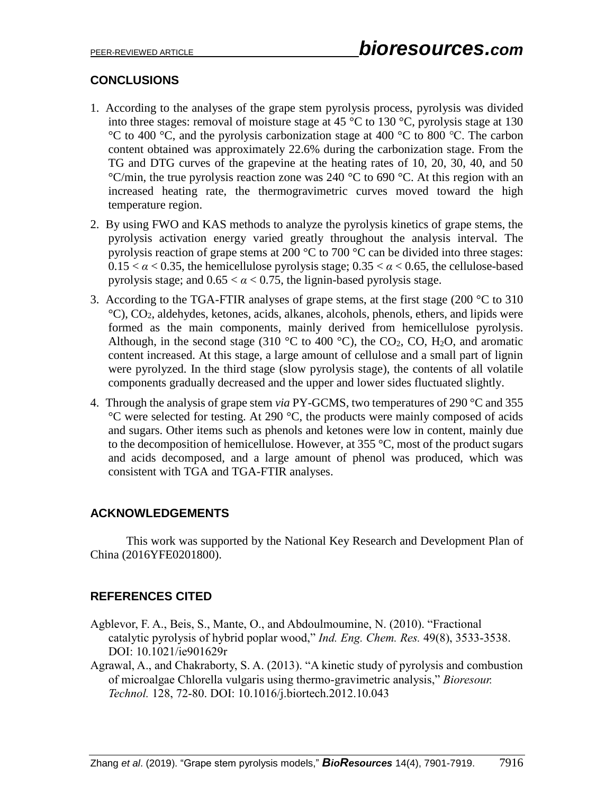# **CONCLUSIONS**

- 1. According to the analyses of the grape stem pyrolysis process, pyrolysis was divided into three stages: removal of moisture stage at 45 °C to 130 °C, pyrolysis stage at 130 °C to 400 °C, and the pyrolysis carbonization stage at 400 °C to 800 ℃. The carbon content obtained was approximately 22.6% during the carbonization stage. From the TG and DTG curves of the grapevine at the heating rates of 10, 20, 30, 40, and 50  $\degree$ C/min, the true pyrolysis reaction zone was 240  $\degree$ C to 690  $\degree$ C. At this region with an increased heating rate, the thermogravimetric curves moved toward the high temperature region.
- 2. By using FWO and KAS methods to analyze the pyrolysis kinetics of grape stems, the pyrolysis activation energy varied greatly throughout the analysis interval. The pyrolysis reaction of grape stems at 200 °C to 700 °C can be divided into three stages:  $0.15 < \alpha < 0.35$ , the hemicellulose pyrolysis stage;  $0.35 < \alpha < 0.65$ , the cellulose-based pyrolysis stage; and  $0.65 < \alpha < 0.75$ , the lignin-based pyrolysis stage.
- 3. According to the TGA-FTIR analyses of grape stems, at the first stage (200  $\degree$ C to 310 °C), CO2, aldehydes, ketones, acids, alkanes, alcohols, phenols, ethers, and lipids were formed as the main components, mainly derived from hemicellulose pyrolysis. Although, in the second stage (310 °C to 400 °C), the CO<sub>2</sub>, CO, H<sub>2</sub>O, and aromatic content increased. At this stage, a large amount of cellulose and a small part of lignin were pyrolyzed. In the third stage (slow pyrolysis stage), the contents of all volatile components gradually decreased and the upper and lower sides fluctuated slightly.
- 4. Through the analysis of grape stem *via* PY-GCMS, two temperatures of 290 °C and 355 °C were selected for testing. At 290 °C, the products were mainly composed of acids and sugars. Other items such as phenols and ketones were low in content, mainly due to the decomposition of hemicellulose. However, at 355 °C, most of the product sugars and acids decomposed, and a large amount of phenol was produced, which was consistent with TGA and TGA-FTIR analyses.

# **ACKNOWLEDGEMENTS**

This work was supported by the National Key Research and Development Plan of China (2016YFE0201800).

# **REFERENCES CITED**

- Agblevor, F. A., Beis, S., Mante, O., and Abdoulmoumine, N. (2010). "Fractional catalytic pyrolysis of hybrid poplar wood," *Ind. Eng. Chem. Res.* 49(8), 3533-3538. DOI: 10.1021/ie901629r
- Agrawal, A., and Chakraborty, S. A. (2013). "A kinetic study of pyrolysis and combustion of microalgae Chlorella vulgaris using thermo-gravimetric analysis," *Bioresour. Technol.* 128, 72-80. DOI: 10.1016/j.biortech.2012.10.043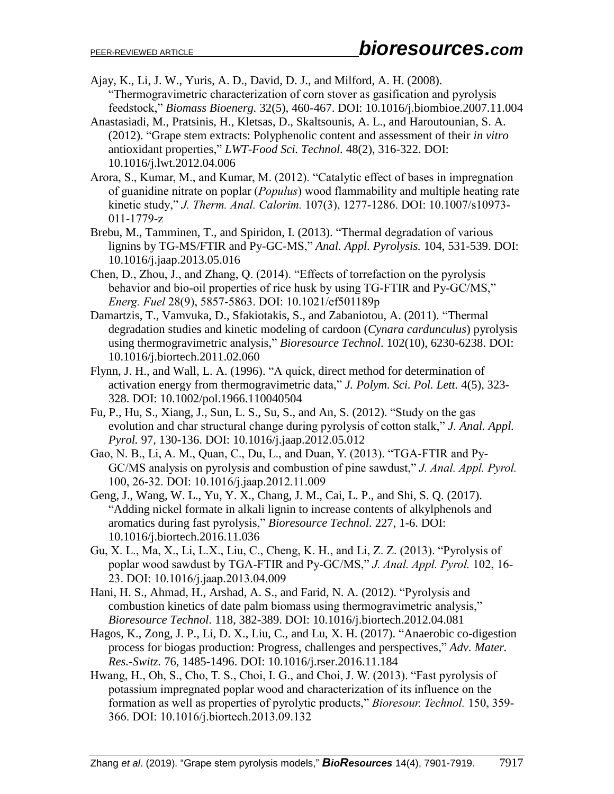- Ajay, K., Li, J. W., Yuris, A. D., David, D. J., and Milford, A. H. (2008). "Thermogravimetric characterization of corn stover as gasification and pyrolysis feedstock," *Biomass Bioenerg.* 32(5), 460-467. DOI: 10.1016/j.biombioe.2007.11.004
- Anastasiadi, M., Pratsinis, H., Kletsas, D., Skaltsounis, A. L., and Haroutounian, S. A. (2012). "Grape stem extracts: Polyphenolic content and assessment of their *in vitro* antioxidant properties," *LWT-Food Sci. Technol.* 48(2), 316-322. DOI: 10.1016/j.lwt.2012.04.006
- Arora, S., Kumar, M., and Kumar, M. (2012). "Catalytic effect of bases in impregnation of guanidine nitrate on poplar (*Populus*) wood flammability and multiple heating rate kinetic study," *J. Therm. Anal. Calorim.* 107(3), 1277-1286. DOI: 10.1007/s10973- 011-1779-z
- Brebu, M., Tamminen, T., and Spiridon, I. (2013). "Thermal degradation of various lignins by TG-MS/FTIR and Py-GC-MS," *Anal. Appl. Pyrolysis.* 104, 531-539. DOI: 10.1016/j.jaap.2013.05.016
- Chen, D., Zhou, J., and Zhang, Q. (2014). "Effects of torrefaction on the pyrolysis behavior and bio-oil properties of rice husk by using TG-FTIR and Py-GC/MS," *Energ. Fuel* 28(9), 5857-5863. DOI: 10.1021/ef501189p
- Damartzis, T., Vamvuka, D., Sfakiotakis, S., and Zabaniotou, A. (2011). "Thermal degradation studies and kinetic modeling of cardoon (*Cynara cardunculus*) pyrolysis using thermogravimetric analysis," *Bioresource Technol*. 102(10), 6230-6238. DOI: 10.1016/j.biortech.2011.02.060
- Flynn, J. H., and Wall, L. A. (1996). "A quick, direct method for determination of activation energy from thermogravimetric data," *J. Polym. Sci. Pol. Lett.* 4(5), 323- 328. DOI: 10.1002/pol.1966.110040504
- Fu, P., Hu, S., Xiang, J., Sun, L. S., Su, S., and An, S. (2012). "Study on the gas evolution and char structural change during pyrolysis of cotton stalk," *J. Anal. Appl. Pyrol.* 97, 130-136. DOI: 10.1016/j.jaap.2012.05.012
- Gao, N. B., Li, A. M., Quan, C., Du, L., and Duan, Y. (2013). "TGA-FTIR and Py-GC/MS analysis on pyrolysis and combustion of pine sawdust," *J. Anal. Appl. Pyrol.*  100, 26-32. DOI: 10.1016/j.jaap.2012.11.009
- Geng, J., Wang, W. L., Yu, Y. X., Chang, J. M., Cai, L. P., and Shi, S. Q. (2017). "Adding nickel formate in alkali lignin to increase contents of alkylphenols and aromatics during fast pyrolysis," *Bioresource Technol.* 227, 1-6. DOI: 10.1016/j.biortech.2016.11.036
- Gu, X. L., Ma, X., Li, L.X., Liu, C., Cheng, K. H., and Li, Z. Z. (2013). "Pyrolysis of poplar wood sawdust by TGA-FTIR and Py-GC/MS," *J. Anal. Appl. Pyrol.* 102, 16- 23. DOI: 10.1016/j.jaap.2013.04.009
- Hani, H. S., Ahmad, H., Arshad, A. S., and Farid, N. A. (2012). "Pyrolysis and combustion kinetics of date palm biomass using thermogravimetric analysis," *Bioresource Technol*. 118, 382-389. DOI: 10.1016/j.biortech.2012.04.081
- Hagos, K., Zong, J. P., Li, D. X., Liu, C., and Lu, X. H. (2017). "Anaerobic co-digestion process for biogas production: Progress, challenges and perspectives," *Adv. Mater. Res.-Switz.* 76, 1485-1496. DOI: 10.1016/j.rser.2016.11.184
- Hwang, H., Oh, S., Cho, T. S., Choi, I. G., and Choi, J. W. (2013). "Fast pyrolysis of potassium impregnated poplar wood and characterization of its influence on the formation as well as properties of pyrolytic products," *Bioresour. Technol.* 150, 359- 366. DOI: 10.1016/j.biortech.2013.09.132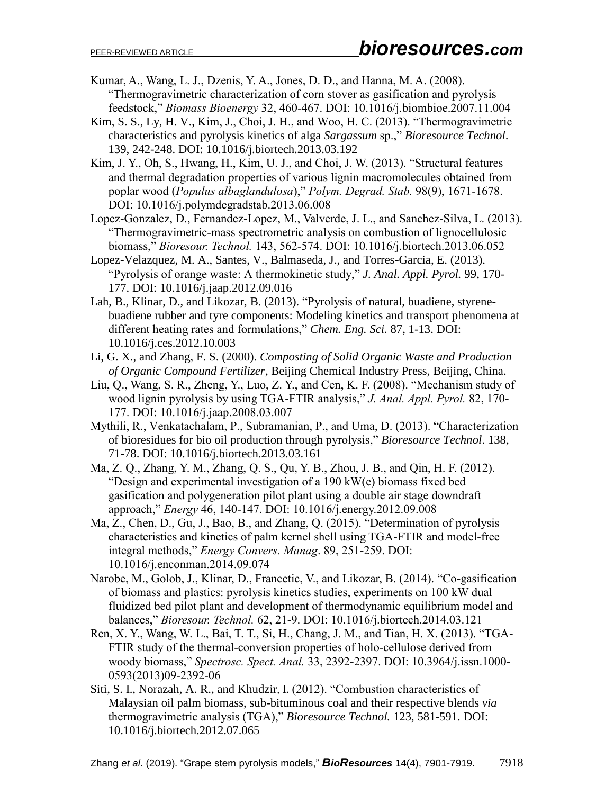- Kumar, A., Wang, L. J., Dzenis, Y. A., Jones, D. D., and Hanna, M. A. (2008). "Thermogravimetric characterization of corn stover as gasification and pyrolysis feedstock," *Biomass Bioenergy* 32, 460-467. DOI: 10.1016/j.biombioe.2007.11.004
- Kim, S. S., Ly, H. V., Kim, J., Choi, J. H., and Woo, H. C. (2013). "Thermogravimetric characteristics and pyrolysis kinetics of alga *Sargassum* sp.," *Bioresource Technol*. 139, 242-248. DOI: 10.1016/j.biortech.2013.03.192
- Kim, J. Y., Oh, S., Hwang, H., Kim, U. J., and Choi, J. W. (2013). "Structural features and thermal degradation properties of various lignin macromolecules obtained from poplar wood (*Populus albaglandulosa*)," *Polym. Degrad. Stab.* 98(9), 1671-1678. DOI: 10.1016/j.polymdegradstab.2013.06.008

Lopez-Gonzalez, D., Fernandez-Lopez, M., Valverde, J. L., and Sanchez-Silva, L. (2013). "Thermogravimetric-mass spectrometric analysis on combustion of lignocellulosic biomass," *Bioresour. Technol.* 143, 562-574. DOI: 10.1016/j.biortech.2013.06.052

- Lopez-Velazquez, M. A., Santes, V., Balmaseda, J., and Torres-Garcia, E. (2013). "Pyrolysis of orange waste: A thermokinetic study," *J. Anal. Appl. Pyrol.* 99, 170- 177. DOI: 10.1016/j.jaap.2012.09.016
- Lah, B., Klinar, D., and Likozar, B. (2013). "Pyrolysis of natural, buadiene, styrenebuadiene rubber and tyre components: Modeling kinetics and transport phenomena at different heating rates and formulations," *Chem. Eng. Sci.* 87, 1-13. DOI: 10.1016/j.ces.2012.10.003
- Li, G. X., and Zhang, F. S. (2000). *Composting of Solid Organic Waste and Production of Organic Compound Fertilizer*, Beijing Chemical Industry Press, Beijing, China.
- Liu, Q., Wang, S. R., Zheng, Y., Luo, Z. Y., and Cen, K. F. (2008). "Mechanism study of wood lignin pyrolysis by using TGA-FTIR analysis," *J. Anal. Appl. Pyrol.* 82, 170- 177. DOI: 10.1016/j.jaap.2008.03.007
- Mythili, R., Venkatachalam, P., Subramanian, P., and Uma, D. (2013). "Characterization of bioresidues for bio oil production through pyrolysis," *Bioresource Technol*. 138, 71-78. DOI: 10.1016/j.biortech.2013.03.161
- Ma, Z. Q., Zhang, Y. M., Zhang, Q. S., Qu, Y. B., Zhou, J. B., and Qin, H. F. (2012). "Design and experimental investigation of a 190 kW(e) biomass fixed bed gasification and polygeneration pilot plant using a double air stage downdraft approach," *Energy* 46, 140-147. DOI: 10.1016/j.energy.2012.09.008
- Ma, Z., Chen, D., Gu, J., Bao, B., and Zhang, Q. (2015). "Determination of pyrolysis characteristics and kinetics of palm kernel shell using TGA-FTIR and model-free integral methods," *Energy Convers. Manag*. 89, 251-259. DOI: 10.1016/j.enconman.2014.09.074
- Narobe, M., Golob, J., Klinar, D., Francetic, V., and Likozar, B. (2014). "Co-gasification of biomass and plastics: pyrolysis kinetics studies, experiments on 100 kW dual fluidized bed pilot plant and development of thermodynamic equilibrium model and balances," *Bioresour. Technol.* 62, 21-9. DOI: 10.1016/j.biortech.2014.03.121
- Ren, X. Y., Wang, W. L., Bai, T. T., Si, H., Chang, J. M., and Tian, H. X. (2013). "TGA-FTIR study of the thermal-conversion properties of holo-cellulose derived from woody biomass," *Spectrosc. Spect. Anal.* 33, 2392-2397. DOI: 10.3964/j.issn.1000- 0593(2013)09-2392-06
- Siti, S. I., Norazah, A. R., and Khudzir, I. (2012). "Combustion characteristics of Malaysian oil palm biomass, sub-bituminous coal and their respective blends *via* thermogravimetric analysis (TGA)," *Bioresource Technol.* 123, 581-591. DOI: 10.1016/j.biortech.2012.07.065